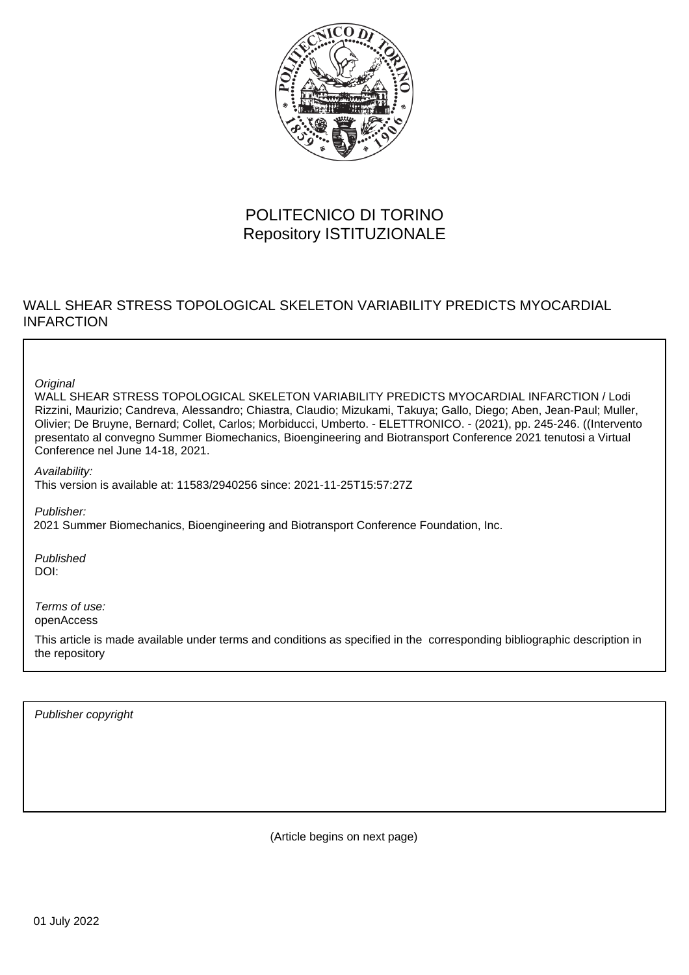

# POLITECNICO DI TORINO Repository ISTITUZIONALE

## WALL SHEAR STRESS TOPOLOGICAL SKELETON VARIABILITY PREDICTS MYOCARDIAL INFARCTION

**Original** 

WALL SHEAR STRESS TOPOLOGICAL SKELETON VARIABILITY PREDICTS MYOCARDIAL INFARCTION / Lodi Rizzini, Maurizio; Candreva, Alessandro; Chiastra, Claudio; Mizukami, Takuya; Gallo, Diego; Aben, Jean-Paul; Muller, Olivier; De Bruyne, Bernard; Collet, Carlos; Morbiducci, Umberto. - ELETTRONICO. - (2021), pp. 245-246. ((Intervento presentato al convegno Summer Biomechanics, Bioengineering and Biotransport Conference 2021 tenutosi a Virtual Conference nel June 14-18, 2021.

Availability: This version is available at: 11583/2940256 since: 2021-11-25T15:57:27Z

Publisher:

2021 Summer Biomechanics, Bioengineering and Biotransport Conference Foundation, Inc.

Published DOI:

Terms of use: openAccess

This article is made available under terms and conditions as specified in the corresponding bibliographic description in the repository

Publisher copyright

(Article begins on next page)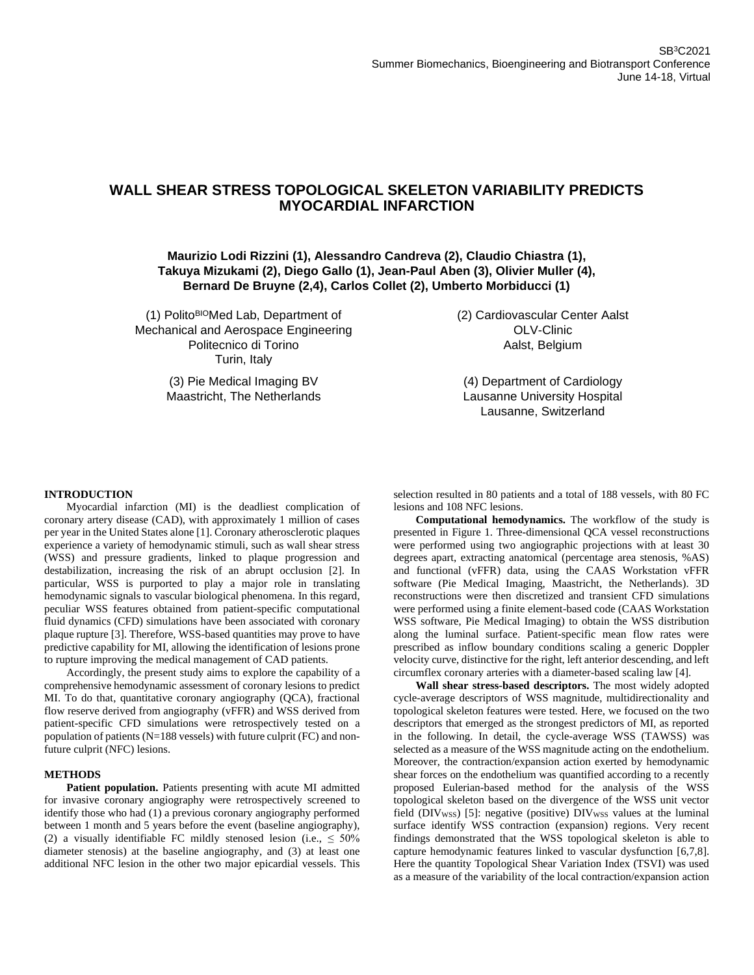### **WALL SHEAR STRESS TOPOLOGICAL SKELETON VARIABILITY PREDICTS MYOCARDIAL INFARCTION**

### **Maurizio Lodi Rizzini (1), Alessandro Candreva (2), Claudio Chiastra (1), Takuya Mizukami (2), Diego Gallo (1), Jean-Paul Aben (3), Olivier Muller (4), Bernard De Bruyne (2,4), Carlos Collet (2), Umberto Morbiducci (1)**

(1) Polito<sup>BIO</sup>Med Lab, Department of Mechanical and Aerospace Engineering Politecnico di Torino Turin, Italy

> (3) Pie Medical Imaging BV Maastricht, The Netherlands

(2) Cardiovascular Center Aalst OLV-Clinic Aalst, Belgium

(4) Department of Cardiology Lausanne University Hospital Lausanne, Switzerland

#### **INTRODUCTION**

Myocardial infarction (MI) is the deadliest complication of coronary artery disease (CAD), with approximately 1 million of cases per year in the United States alone [1]. Coronary atherosclerotic plaques experience a variety of hemodynamic stimuli, such as wall shear stress (WSS) and pressure gradients, linked to plaque progression and destabilization, increasing the risk of an abrupt occlusion [2]. In particular, WSS is purported to play a major role in translating hemodynamic signals to vascular biological phenomena. In this regard, peculiar WSS features obtained from patient-specific computational fluid dynamics (CFD) simulations have been associated with coronary plaque rupture [3]. Therefore, WSS-based quantities may prove to have predictive capability for MI, allowing the identification of lesions prone to rupture improving the medical management of CAD patients.

Accordingly, the present study aims to explore the capability of a comprehensive hemodynamic assessment of coronary lesions to predict MI. To do that, quantitative coronary angiography (QCA), fractional flow reserve derived from angiography (vFFR) and WSS derived from patient-specific CFD simulations were retrospectively tested on a population of patients (N=188 vessels) with future culprit (FC) and nonfuture culprit (NFC) lesions.

#### **METHODS**

Patient population. Patients presenting with acute MI admitted for invasive coronary angiography were retrospectively screened to identify those who had (1) a previous coronary angiography performed between 1 month and 5 years before the event (baseline angiography), (2) a visually identifiable FC mildly stenosed lesion (i.e.,  $\leq 50\%$ diameter stenosis) at the baseline angiography, and (3) at least one additional NFC lesion in the other two major epicardial vessels. This

selection resulted in 80 patients and a total of 188 vessels, with 80 FC lesions and 108 NFC lesions.

**Computational hemodynamics.** The workflow of the study is presented in Figure 1. Three-dimensional QCA vessel reconstructions were performed using two angiographic projections with at least 30 degrees apart, extracting anatomical (percentage area stenosis, %AS) and functional (vFFR) data, using the CAAS Workstation vFFR software (Pie Medical Imaging, Maastricht, the Netherlands). 3D reconstructions were then discretized and transient CFD simulations were performed using a finite element-based code (CAAS Workstation WSS software, Pie Medical Imaging) to obtain the WSS distribution along the luminal surface. Patient-specific mean flow rates were prescribed as inflow boundary conditions scaling a generic Doppler velocity curve, distinctive for the right, left anterior descending, and left circumflex coronary arteries with a diameter-based scaling law [4].

**Wall shear stress-based descriptors.** The most widely adopted cycle-average descriptors of WSS magnitude, multidirectionality and topological skeleton features were tested. Here, we focused on the two descriptors that emerged as the strongest predictors of MI, as reported in the following. In detail, the cycle-average WSS (TAWSS) was selected as a measure of the WSS magnitude acting on the endothelium. Moreover, the contraction/expansion action exerted by hemodynamic shear forces on the endothelium was quantified according to a recently proposed Eulerian-based method for the analysis of the WSS topological skeleton based on the divergence of the WSS unit vector field (DIVwss) [5]: negative (positive) DIVwss values at the luminal surface identify WSS contraction (expansion) regions. Very recent findings demonstrated that the WSS topological skeleton is able to capture hemodynamic features linked to vascular dysfunction [6,7,8]. Here the quantity Topological Shear Variation Index (TSVI) was used as a measure of the variability of the local contraction/expansion action